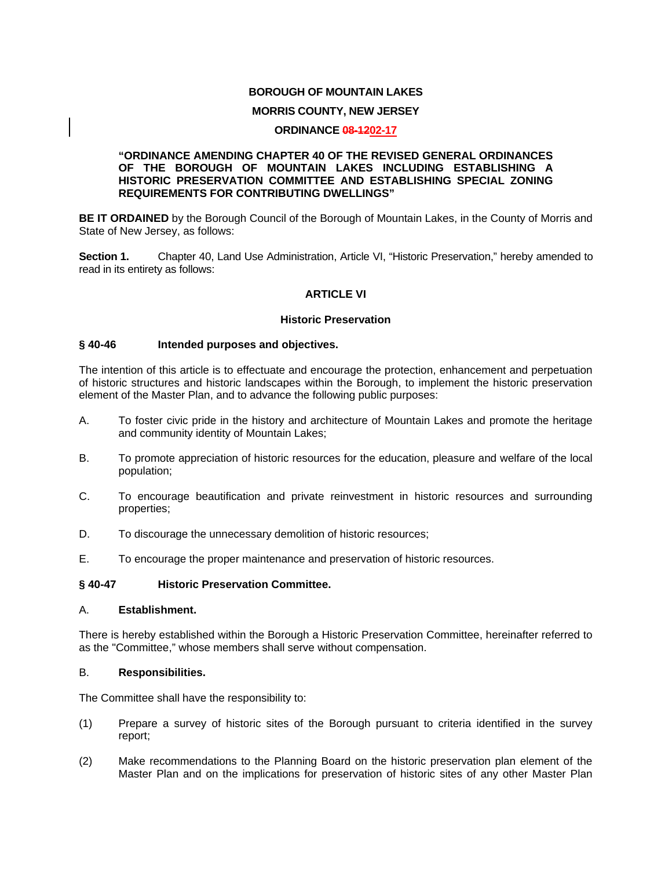### **BOROUGH OF MOUNTAIN LAKES**

#### **MORRIS COUNTY, NEW JERSEY**

#### **ORDINANCE 08-1202-17**

#### **"ORDINANCE AMENDING CHAPTER 40 OF THE REVISED GENERAL ORDINANCES OF THE BOROUGH OF MOUNTAIN LAKES INCLUDING ESTABLISHING A HISTORIC PRESERVATION COMMITTEE AND ESTABLISHING SPECIAL ZONING REQUIREMENTS FOR CONTRIBUTING DWELLINGS"**

**BE IT ORDAINED** by the Borough Council of the Borough of Mountain Lakes, in the County of Morris and State of New Jersey, as follows:

**Section 1.** Chapter 40, Land Use Administration, Article VI, "Historic Preservation," hereby amended to read in its entirety as follows:

### **ARTICLE VI**

#### **Historic Preservation**

#### **§ 40-46 Intended purposes and objectives.**

The intention of this article is to effectuate and encourage the protection, enhancement and perpetuation of historic structures and historic landscapes within the Borough, to implement the historic preservation element of the Master Plan, and to advance the following public purposes:

- A. To foster civic pride in the history and architecture of Mountain Lakes and promote the heritage and community identity of Mountain Lakes;
- B. To promote appreciation of historic resources for the education, pleasure and welfare of the local population;
- C. To encourage beautification and private reinvestment in historic resources and surrounding properties;
- D. To discourage the unnecessary demolition of historic resources;
- E. To encourage the proper maintenance and preservation of historic resources.

### **§ 40-47 Historic Preservation Committee.**

#### A. **Establishment.**

There is hereby established within the Borough a Historic Preservation Committee, hereinafter referred to as the "Committee," whose members shall serve without compensation.

#### B. **Responsibilities.**

The Committee shall have the responsibility to:

- (1) Prepare a survey of historic sites of the Borough pursuant to criteria identified in the survey report;
- (2) Make recommendations to the Planning Board on the historic preservation plan element of the Master Plan and on the implications for preservation of historic sites of any other Master Plan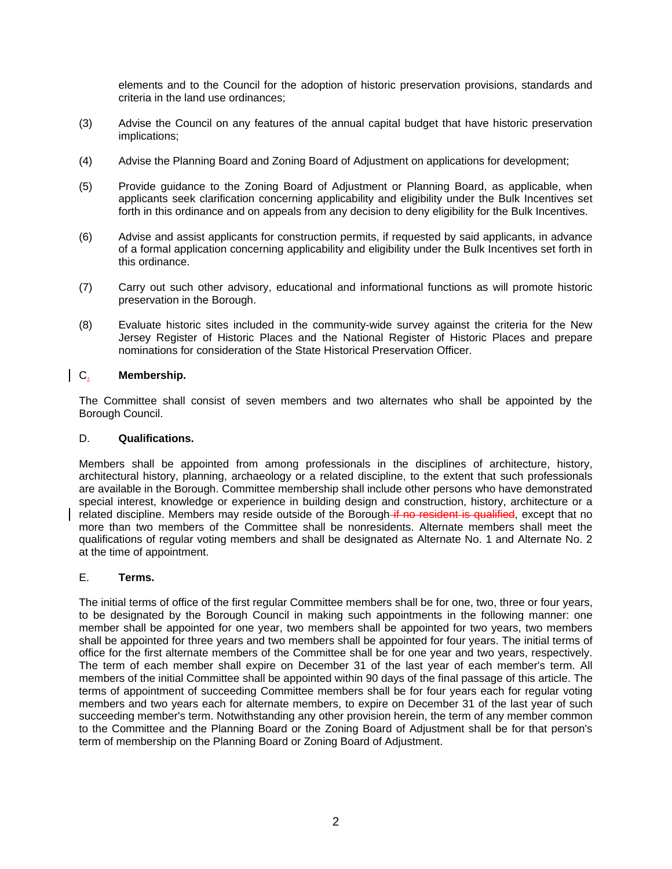elements and to the Council for the adoption of historic preservation provisions, standards and criteria in the land use ordinances;

- (3) Advise the Council on any features of the annual capital budget that have historic preservation implications;
- (4) Advise the Planning Board and Zoning Board of Adjustment on applications for development;
- (5) Provide guidance to the Zoning Board of Adjustment or Planning Board, as applicable, when applicants seek clarification concerning applicability and eligibility under the Bulk Incentives set forth in this ordinance and on appeals from any decision to deny eligibility for the Bulk Incentives.
- (6) Advise and assist applicants for construction permits, if requested by said applicants, in advance of a formal application concerning applicability and eligibility under the Bulk Incentives set forth in this ordinance.
- (7) Carry out such other advisory, educational and informational functions as will promote historic preservation in the Borough.
- (8) Evaluate historic sites included in the community-wide survey against the criteria for the New Jersey Register of Historic Places and the National Register of Historic Places and prepare nominations for consideration of the State Historical Preservation Officer.

## C. **Membership.**

The Committee shall consist of seven members and two alternates who shall be appointed by the Borough Council.

### D. **Qualifications.**

Members shall be appointed from among professionals in the disciplines of architecture, history, architectural history, planning, archaeology or a related discipline, to the extent that such professionals are available in the Borough. Committee membership shall include other persons who have demonstrated special interest, knowledge or experience in building design and construction, history, architecture or a related discipline. Members may reside outside of the Borough if no resident is qualified, except that no more than two members of the Committee shall be nonresidents. Alternate members shall meet the qualifications of regular voting members and shall be designated as Alternate No. 1 and Alternate No. 2 at the time of appointment.

### E. **Terms.**

The initial terms of office of the first regular Committee members shall be for one, two, three or four years, to be designated by the Borough Council in making such appointments in the following manner: one member shall be appointed for one year, two members shall be appointed for two years, two members shall be appointed for three years and two members shall be appointed for four years. The initial terms of office for the first alternate members of the Committee shall be for one year and two years, respectively. The term of each member shall expire on December 31 of the last year of each member's term. All members of the initial Committee shall be appointed within 90 days of the final passage of this article. The terms of appointment of succeeding Committee members shall be for four years each for regular voting members and two years each for alternate members, to expire on December 31 of the last year of such succeeding member's term. Notwithstanding any other provision herein, the term of any member common to the Committee and the Planning Board or the Zoning Board of Adjustment shall be for that person's term of membership on the Planning Board or Zoning Board of Adjustment.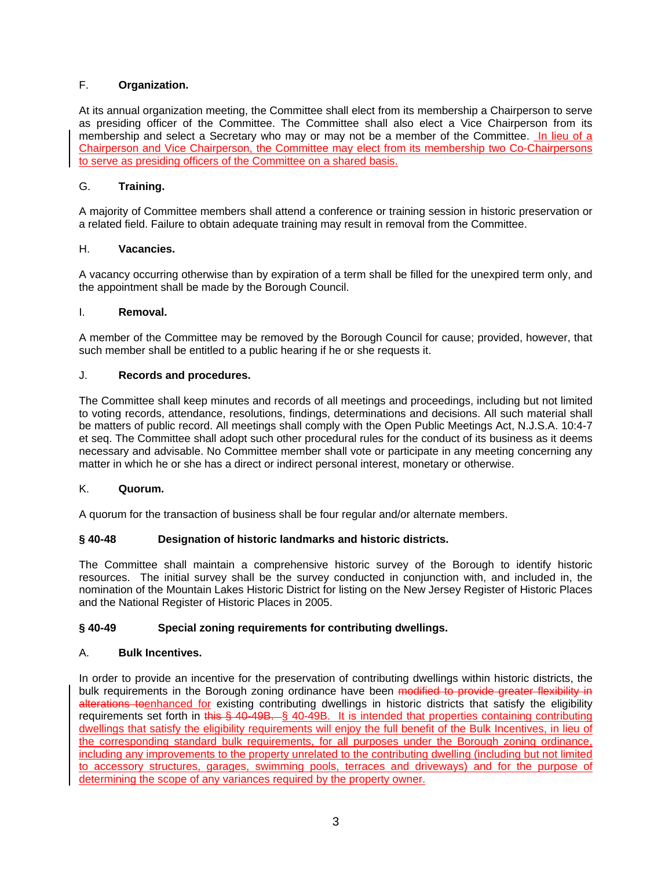# F. **Organization.**

At its annual organization meeting, the Committee shall elect from its membership a Chairperson to serve as presiding officer of the Committee. The Committee shall also elect a Vice Chairperson from its membership and select a Secretary who may or may not be a member of the Committee. In lieu of a Chairperson and Vice Chairperson, the Committee may elect from its membership two Co-Chairpersons to serve as presiding officers of the Committee on a shared basis.

### G. **Training.**

A majority of Committee members shall attend a conference or training session in historic preservation or a related field. Failure to obtain adequate training may result in removal from the Committee.

### H. **Vacancies.**

A vacancy occurring otherwise than by expiration of a term shall be filled for the unexpired term only, and the appointment shall be made by the Borough Council.

### I. **Removal.**

A member of the Committee may be removed by the Borough Council for cause; provided, however, that such member shall be entitled to a public hearing if he or she requests it.

### J. **Records and procedures.**

The Committee shall keep minutes and records of all meetings and proceedings, including but not limited to voting records, attendance, resolutions, findings, determinations and decisions. All such material shall be matters of public record. All meetings shall comply with the Open Public Meetings Act, N.J.S.A. 10:4-7 et seq. The Committee shall adopt such other procedural rules for the conduct of its business as it deems necessary and advisable. No Committee member shall vote or participate in any meeting concerning any matter in which he or she has a direct or indirect personal interest, monetary or otherwise.

#### K. **Quorum.**

A quorum for the transaction of business shall be four regular and/or alternate members.

### **§ 40-48 Designation of historic landmarks and historic districts.**

The Committee shall maintain a comprehensive historic survey of the Borough to identify historic resources. The initial survey shall be the survey conducted in conjunction with, and included in, the nomination of the Mountain Lakes Historic District for listing on the New Jersey Register of Historic Places and the National Register of Historic Places in 2005.

### **§ 40-49 Special zoning requirements for contributing dwellings.**

### A. **Bulk Incentives.**

In order to provide an incentive for the preservation of contributing dwellings within historic districts, the bulk requirements in the Borough zoning ordinance have been modified to provide greater flexibility in alterations toenhanced for existing contributing dwellings in historic districts that satisfy the eligibility requirements set forth in this § 40-49B. § 40-49B. It is intended that properties containing contributing dwellings that satisfy the eligibility requirements will enjoy the full benefit of the Bulk Incentives, in lieu of the corresponding standard bulk requirements, for all purposes under the Borough zoning ordinance, including any improvements to the property unrelated to the contributing dwelling (including but not limited to accessory structures, garages, swimming pools, terraces and driveways) and for the purpose of determining the scope of any variances required by the property owner.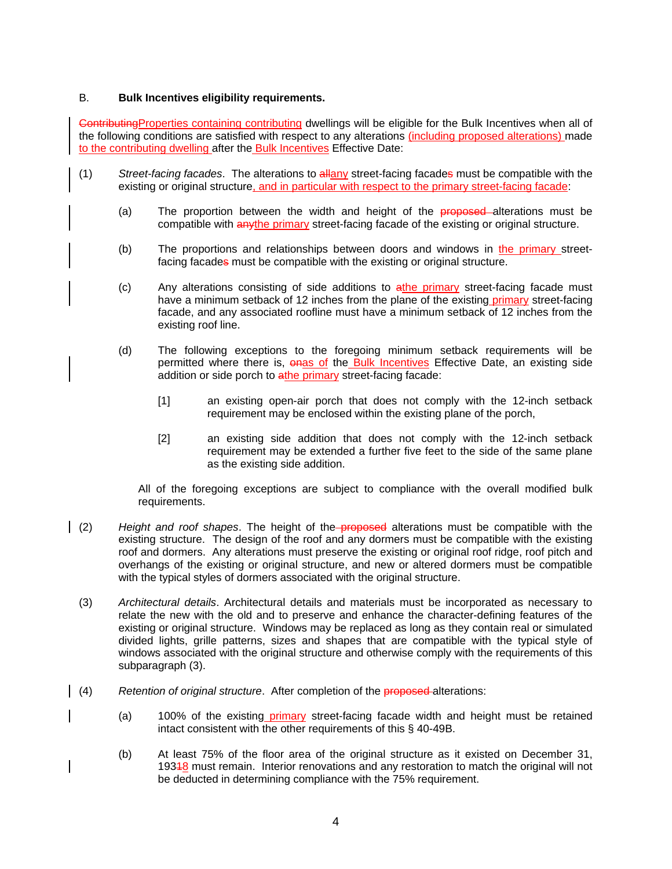### B. **Bulk Incentives eligibility requirements.**

ContributingProperties containing contributing dwellings will be eligible for the Bulk Incentives when all of the following conditions are satisfied with respect to any alterations (including proposed alterations) made to the contributing dwelling after the Bulk Incentives Effective Date:

- (1) *Street-facing facades*. The alterations to allany street-facing facades must be compatible with the existing or original structure, and in particular with respect to the primary street-facing facade:
	- (a) The proportion between the width and height of the **proposed**-alterations must be compatible with anythe primary street-facing facade of the existing or original structure.
	- (b) The proportions and relationships between doors and windows in the primary streetfacing facades must be compatible with the existing or original structure.
	- (c) Any alterations consisting of side additions to athe primary street-facing facade must have a minimum setback of 12 inches from the plane of the existing primary street-facing facade, and any associated roofline must have a minimum setback of 12 inches from the existing roof line.
	- (d) The following exceptions to the foregoing minimum setback requirements will be permitted where there is, onas of the Bulk Incentives Effective Date, an existing side addition or side porch to athe primary street-facing facade:
		- [1] an existing open-air porch that does not comply with the 12-inch setback requirement may be enclosed within the existing plane of the porch,
		- [2] an existing side addition that does not comply with the 12-inch setback requirement may be extended a further five feet to the side of the same plane as the existing side addition.

All of the foregoing exceptions are subject to compliance with the overall modified bulk requirements.

- (2) *Height and roof shapes*. The height of the proposed alterations must be compatible with the existing structure. The design of the roof and any dormers must be compatible with the existing roof and dormers. Any alterations must preserve the existing or original roof ridge, roof pitch and overhangs of the existing or original structure, and new or altered dormers must be compatible with the typical styles of dormers associated with the original structure.
	- (3) *Architectural details*. Architectural details and materials must be incorporated as necessary to relate the new with the old and to preserve and enhance the character-defining features of the existing or original structure. Windows may be replaced as long as they contain real or simulated divided lights, grille patterns, sizes and shapes that are compatible with the typical style of windows associated with the original structure and otherwise comply with the requirements of this subparagraph (3).
- (4) *Retention of original structure*. After completion of the proposed alterations:
	- (a) 100% of the existing *primary* street-facing facade width and height must be retained intact consistent with the other requirements of this § 40-49B.
	- (b) At least 75% of the floor area of the original structure as it existed on December 31, 19348 must remain. Interior renovations and any restoration to match the original will not be deducted in determining compliance with the 75% requirement.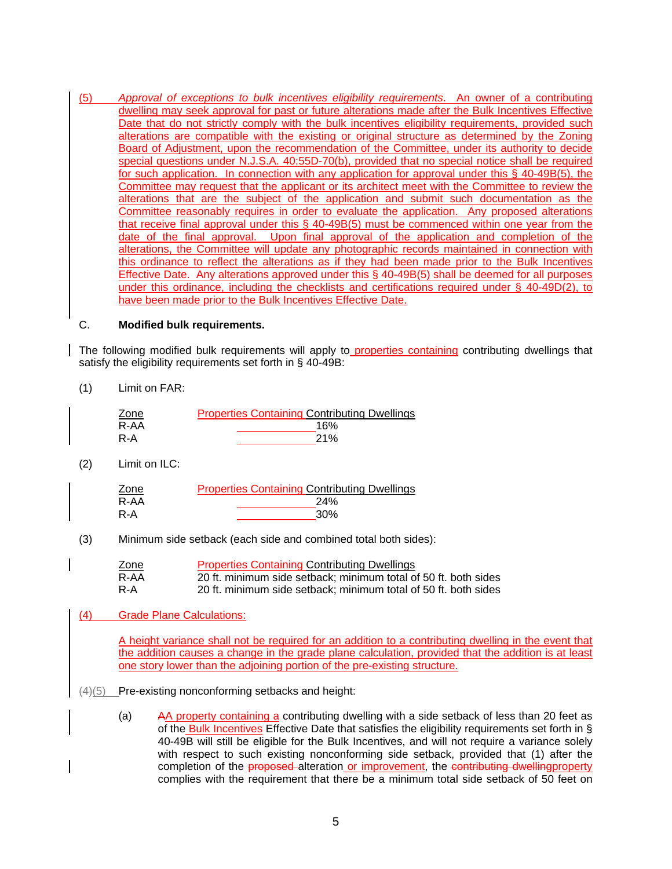(5) *Approval of exceptions to bulk incentives eligibility requirements*. An owner of a contributing dwelling may seek approval for past or future alterations made after the Bulk Incentives Effective Date that do not strictly comply with the bulk incentives eligibility requirements, provided such alterations are compatible with the existing or original structure as determined by the Zoning Board of Adjustment, upon the recommendation of the Committee, under its authority to decide special questions under N.J.S.A. 40:55D-70(b), provided that no special notice shall be required for such application. In connection with any application for approval under this § 40-49B(5), the Committee may request that the applicant or its architect meet with the Committee to review the alterations that are the subject of the application and submit such documentation as the Committee reasonably requires in order to evaluate the application. Any proposed alterations that receive final approval under this § 40-49B(5) must be commenced within one year from the date of the final approval. Upon final approval of the application and completion of the alterations, the Committee will update any photographic records maintained in connection with this ordinance to reflect the alterations as if they had been made prior to the Bulk Incentives Effective Date. Any alterations approved under this § 40-49B(5) shall be deemed for all purposes under this ordinance, including the checklists and certifications required under § 40-49D(2), to have been made prior to the Bulk Incentives Effective Date.

#### C. **Modified bulk requirements.**

The following modified bulk requirements will apply to properties containing contributing dwellings that satisfy the eligibility requirements set forth in § 40-49B:

(1) Limit on FAR:

| Zone | <b>Properties Containing Contributing Dwellings</b> |
|------|-----------------------------------------------------|
| R-AA | 16%                                                 |
| R-A  | <b>21%</b>                                          |

(2) Limit on ILC:

| Zone | <b>Properties Containing Contributing Dwellings</b> |
|------|-----------------------------------------------------|
| R-AA | 24%                                                 |
| R-A  | 30%                                                 |

(3) Minimum side setback (each side and combined total both sides):

| Zone | <b>Properties Containing Contributing Dwellings</b>             |
|------|-----------------------------------------------------------------|
| R-AA | 20 ft. minimum side setback: minimum total of 50 ft. both sides |
| R-A  | 20 ft. minimum side setback; minimum total of 50 ft. both sides |

(4) Grade Plane Calculations:

A height variance shall not be required for an addition to a contributing dwelling in the event that the addition causes a change in the grade plane calculation, provided that the addition is at least one story lower than the adjoining portion of the pre-existing structure.

- (4)(5) Pre-existing nonconforming setbacks and height:
	- (a) AA property containing a contributing dwelling with a side setback of less than 20 feet as of the Bulk Incentives Effective Date that satisfies the eligibility requirements set forth in § 40-49B will still be eligible for the Bulk Incentives, and will not require a variance solely with respect to such existing nonconforming side setback, provided that (1) after the completion of the proposed alteration or improvement, the contributing dwellingproperty complies with the requirement that there be a minimum total side setback of 50 feet on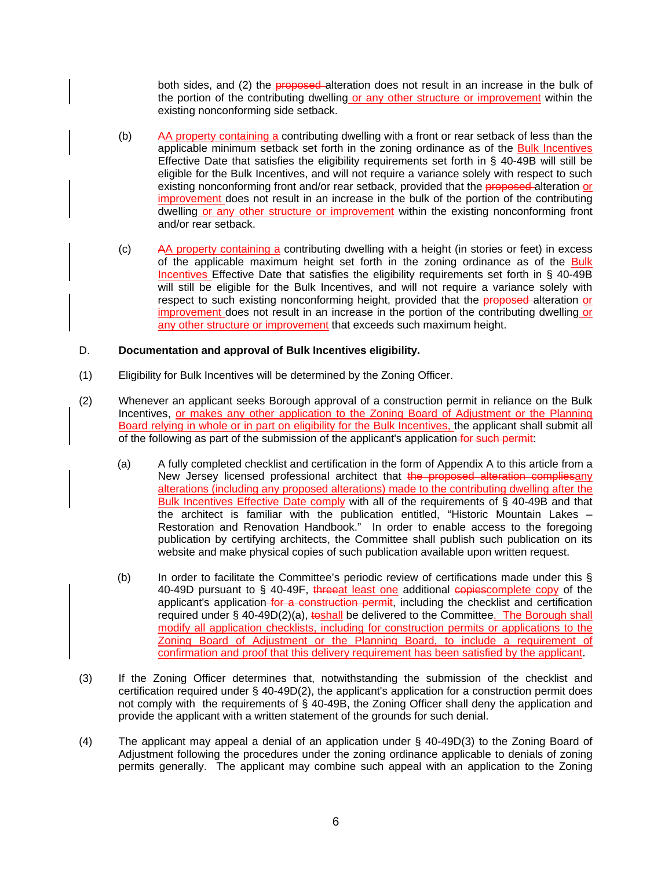both sides, and (2) the proposed alteration does not result in an increase in the bulk of the portion of the contributing dwelling or any other structure or improvement within the existing nonconforming side setback.

- (b) AA property containing a contributing dwelling with a front or rear setback of less than the applicable minimum setback set forth in the zoning ordinance as of the Bulk Incentives Effective Date that satisfies the eligibility requirements set forth in § 40-49B will still be eligible for the Bulk Incentives, and will not require a variance solely with respect to such existing nonconforming front and/or rear setback, provided that the **proposed** alteration or improvement does not result in an increase in the bulk of the portion of the contributing dwelling or any other structure or improvement within the existing nonconforming front and/or rear setback.
- (c) AA property containing a contributing dwelling with a height (in stories or feet) in excess of the applicable maximum height set forth in the zoning ordinance as of the Bulk Incentives Effective Date that satisfies the eligibility requirements set forth in § 40-49B will still be eligible for the Bulk Incentives, and will not require a variance solely with respect to such existing nonconforming height, provided that the **proposed**-alteration or improvement does not result in an increase in the portion of the contributing dwelling or any other structure or improvement that exceeds such maximum height.

### D. **Documentation and approval of Bulk Incentives eligibility.**

- (1) Eligibility for Bulk Incentives will be determined by the Zoning Officer.
- (2) Whenever an applicant seeks Borough approval of a construction permit in reliance on the Bulk Incentives, or makes any other application to the Zoning Board of Adjustment or the Planning Board relying in whole or in part on eligibility for the Bulk Incentives, the applicant shall submit all of the following as part of the submission of the applicant's application for such permit:
	- (a) A fully completed checklist and certification in the form of Appendix A to this article from a New Jersey licensed professional architect that the proposed alteration compliesany alterations (including any proposed alterations) made to the contributing dwelling after the Bulk Incentives Effective Date comply with all of the requirements of § 40-49B and that the architect is familiar with the publication entitled, "Historic Mountain Lakes – Restoration and Renovation Handbook." In order to enable access to the foregoing publication by certifying architects, the Committee shall publish such publication on its website and make physical copies of such publication available upon written request.
	- (b) In order to facilitate the Committee's periodic review of certifications made under this § 40-49D pursuant to § 40-49F, threeat least one additional copies complete copy of the applicant's application for a construction permit, including the checklist and certification required under § 40-49D(2)(a), toshall be delivered to the Committee. The Borough shall modify all application checklists, including for construction permits or applications to the Zoning Board of Adjustment or the Planning Board, to include a requirement of confirmation and proof that this delivery requirement has been satisfied by the applicant.
- (3) If the Zoning Officer determines that, notwithstanding the submission of the checklist and certification required under § 40-49D(2), the applicant's application for a construction permit does not comply with the requirements of § 40-49B, the Zoning Officer shall deny the application and provide the applicant with a written statement of the grounds for such denial.
- (4) The applicant may appeal a denial of an application under § 40-49D(3) to the Zoning Board of Adjustment following the procedures under the zoning ordinance applicable to denials of zoning permits generally. The applicant may combine such appeal with an application to the Zoning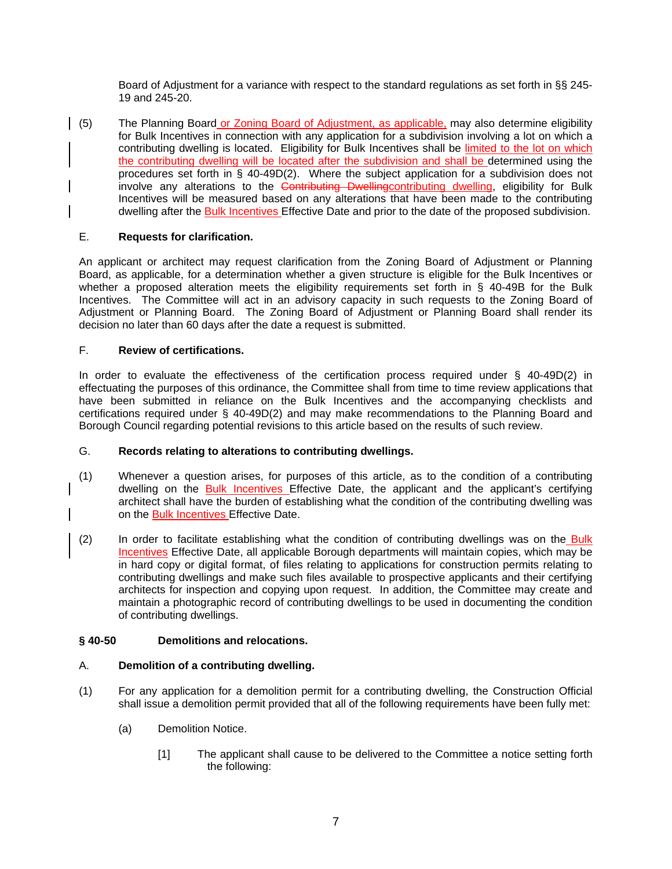Board of Adjustment for a variance with respect to the standard regulations as set forth in §§ 245- 19 and 245-20.

(5) The Planning Board or Zoning Board of Adjustment, as applicable, may also determine eligibility for Bulk Incentives in connection with any application for a subdivision involving a lot on which a contributing dwelling is located. Eligibility for Bulk Incentives shall be limited to the lot on which the contributing dwelling will be located after the subdivision and shall be determined using the procedures set forth in § 40-49D(2). Where the subject application for a subdivision does not involve any alterations to the Contributing Dwellingcontributing dwelling, eligibility for Bulk Incentives will be measured based on any alterations that have been made to the contributing dwelling after the Bulk Incentives Effective Date and prior to the date of the proposed subdivision.

### E. **Requests for clarification.**

An applicant or architect may request clarification from the Zoning Board of Adjustment or Planning Board, as applicable, for a determination whether a given structure is eligible for the Bulk Incentives or whether a proposed alteration meets the eligibility requirements set forth in § 40-49B for the Bulk Incentives. The Committee will act in an advisory capacity in such requests to the Zoning Board of Adjustment or Planning Board. The Zoning Board of Adjustment or Planning Board shall render its decision no later than 60 days after the date a request is submitted.

### F. **Review of certifications.**

In order to evaluate the effectiveness of the certification process required under § 40-49D(2) in effectuating the purposes of this ordinance, the Committee shall from time to time review applications that have been submitted in reliance on the Bulk Incentives and the accompanying checklists and certifications required under § 40-49D(2) and may make recommendations to the Planning Board and Borough Council regarding potential revisions to this article based on the results of such review.

### G. **Records relating to alterations to contributing dwellings.**

- (1) Whenever a question arises, for purposes of this article, as to the condition of a contributing dwelling on the Bulk Incentives Effective Date, the applicant and the applicant's certifying architect shall have the burden of establishing what the condition of the contributing dwelling was on the Bulk Incentives Effective Date.
- (2) In order to facilitate establishing what the condition of contributing dwellings was on the Bulk Incentives Effective Date, all applicable Borough departments will maintain copies, which may be in hard copy or digital format, of files relating to applications for construction permits relating to contributing dwellings and make such files available to prospective applicants and their certifying architects for inspection and copying upon request. In addition, the Committee may create and maintain a photographic record of contributing dwellings to be used in documenting the condition of contributing dwellings.

# **§ 40-50 Demolitions and relocations.**

### A. **Demolition of a contributing dwelling.**

- (1) For any application for a demolition permit for a contributing dwelling, the Construction Official shall issue a demolition permit provided that all of the following requirements have been fully met:
	- (a) Demolition Notice.
		- [1] The applicant shall cause to be delivered to the Committee a notice setting forth the following: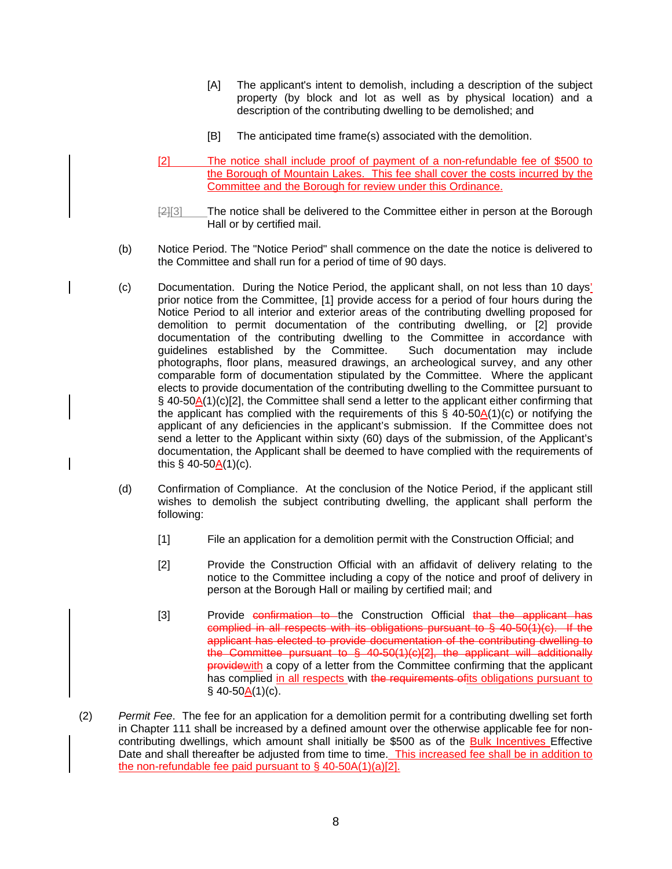- [A] The applicant's intent to demolish, including a description of the subject property (by block and lot as well as by physical location) and a description of the contributing dwelling to be demolished; and
- [B] The anticipated time frame(s) associated with the demolition.
- [2] The notice shall include proof of payment of a non-refundable fee of \$500 to the Borough of Mountain Lakes. This fee shall cover the costs incurred by the Committee and the Borough for review under this Ordinance.
- $\frac{[2][3]}{[2][3]}$  The notice shall be delivered to the Committee either in person at the Borough Hall or by certified mail.
- (b) Notice Period. The "Notice Period" shall commence on the date the notice is delivered to the Committee and shall run for a period of time of 90 days.
- (c) Documentation. During the Notice Period, the applicant shall, on not less than 10 days' prior notice from the Committee, [1] provide access for a period of four hours during the Notice Period to all interior and exterior areas of the contributing dwelling proposed for demolition to permit documentation of the contributing dwelling, or [2] provide documentation of the contributing dwelling to the Committee in accordance with guidelines established by the Committee. Such documentation may include photographs, floor plans, measured drawings, an archeological survey, and any other comparable form of documentation stipulated by the Committee. Where the applicant elects to provide documentation of the contributing dwelling to the Committee pursuant to  $\S$  40-50A(1)(c)[2], the Committee shall send a letter to the applicant either confirming that the applicant has complied with the requirements of this  $\S$  40-50A(1)(c) or notifying the applicant of any deficiencies in the applicant's submission. If the Committee does not send a letter to the Applicant within sixty (60) days of the submission, of the Applicant's documentation, the Applicant shall be deemed to have complied with the requirements of this  $§$  40-50 $\underline{A}(1)(c)$ .
- (d) Confirmation of Compliance. At the conclusion of the Notice Period, if the applicant still wishes to demolish the subject contributing dwelling, the applicant shall perform the following:
	- [1] File an application for a demolition permit with the Construction Official; and
	- [2] Provide the Construction Official with an affidavit of delivery relating to the notice to the Committee including a copy of the notice and proof of delivery in person at the Borough Hall or mailing by certified mail; and
	- [3] Provide confirmation to the Construction Official that the applicant has complied in all respects with its obligations pursuant to  $\S$  40-50(1)(c). If the applicant has elected to provide documentation of the contributing dwelling to the Committee pursuant to § 40-50(1)(c)[2], the applicant will additionally providewith a copy of a letter from the Committee confirming that the applicant has complied in all respects with the requirements of its obligations pursuant to  $§$  40-50A(1)(c).
- (2) *Permit Fee*. The fee for an application for a demolition permit for a contributing dwelling set forth in Chapter 111 shall be increased by a defined amount over the otherwise applicable fee for noncontributing dwellings, which amount shall initially be \$500 as of the **Bulk Incentives** Effective Date and shall thereafter be adjusted from time to time. This increased fee shall be in addition to the non-refundable fee paid pursuant to  $\S$  40-50A(1)(a)[2].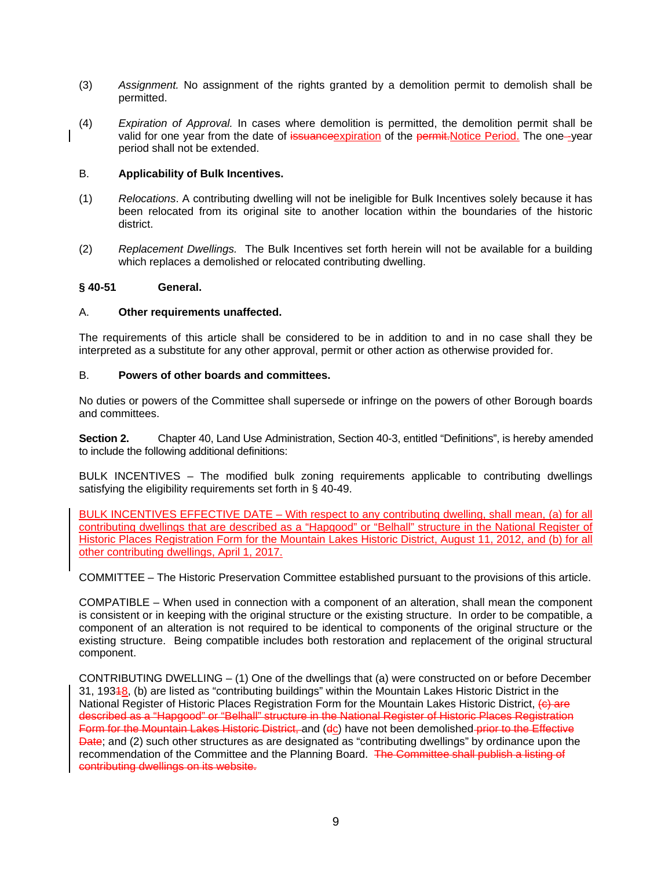- (3) *Assignment.* No assignment of the rights granted by a demolition permit to demolish shall be permitted.
- (4) *Expiration of Approval.* In cases where demolition is permitted, the demolition permit shall be valid for one year from the date of issuance expiration of the permit. Notice Period. The one--year period shall not be extended.

### B. **Applicability of Bulk Incentives.**

- (1) *Relocations*. A contributing dwelling will not be ineligible for Bulk Incentives solely because it has been relocated from its original site to another location within the boundaries of the historic district.
- (2) *Replacement Dwellings.* The Bulk Incentives set forth herein will not be available for a building which replaces a demolished or relocated contributing dwelling.

#### **§ 40-51 General.**

### A. **Other requirements unaffected.**

The requirements of this article shall be considered to be in addition to and in no case shall they be interpreted as a substitute for any other approval, permit or other action as otherwise provided for.

### B. **Powers of other boards and committees.**

No duties or powers of the Committee shall supersede or infringe on the powers of other Borough boards and committees.

**Section 2.** Chapter 40, Land Use Administration, Section 40-3, entitled "Definitions", is hereby amended to include the following additional definitions:

BULK INCENTIVES – The modified bulk zoning requirements applicable to contributing dwellings satisfying the eligibility requirements set forth in § 40-49.

BULK INCENTIVES EFFECTIVE DATE – With respect to any contributing dwelling, shall mean, (a) for all contributing dwellings that are described as a "Hapgood" or "Belhall" structure in the National Register of Historic Places Registration Form for the Mountain Lakes Historic District, August 11, 2012, and (b) for all other contributing dwellings, April 1, 2017.

COMMITTEE – The Historic Preservation Committee established pursuant to the provisions of this article.

COMPATIBLE – When used in connection with a component of an alteration, shall mean the component is consistent or in keeping with the original structure or the existing structure. In order to be compatible, a component of an alteration is not required to be identical to components of the original structure or the existing structure. Being compatible includes both restoration and replacement of the original structural component.

CONTRIBUTING DWELLING – (1) One of the dwellings that (a) were constructed on or before December 31, 19318, (b) are listed as "contributing buildings" within the Mountain Lakes Historic District in the National Register of Historic Places Registration Form for the Mountain Lakes Historic District, (c) are described as a "Hapgood" or "Belhall" structure in the National Register of Historic Places Registration Form for the Mountain Lakes Historic District, and (dc) have not been demolished prior to the Effective Date; and (2) such other structures as are designated as "contributing dwellings" by ordinance upon the recommendation of the Committee and the Planning Board. The Committee shall publish a listing of contributing dwellings on its website.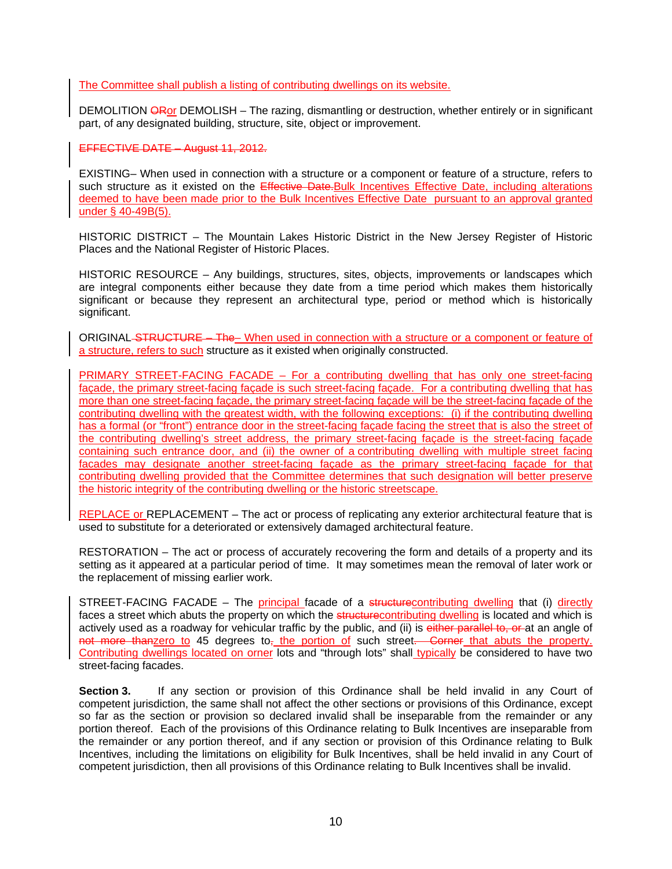The Committee shall publish a listing of contributing dwellings on its website.

DEMOLITION OROF DEMOLISH – The razing, dismantling or destruction, whether entirely or in significant part, of any designated building, structure, site, object or improvement.

EFFECTIVE DATE – August 11, 2012.

EXISTING– When used in connection with a structure or a component or feature of a structure, refers to such structure as it existed on the Effective Date. Bulk Incentives Effective Date, including alterations deemed to have been made prior to the Bulk Incentives Effective Date pursuant to an approval granted under § 40-49B(5).

HISTORIC DISTRICT – The Mountain Lakes Historic District in the New Jersey Register of Historic Places and the National Register of Historic Places.

HISTORIC RESOURCE – Any buildings, structures, sites, objects, improvements or landscapes which are integral components either because they date from a time period which makes them historically significant or because they represent an architectural type, period or method which is historically significant.

ORIGINAL STRUCTURE - The- When used in connection with a structure or a component or feature of a structure, refers to such structure as it existed when originally constructed.

PRIMARY STREET-FACING FACADE – For a contributing dwelling that has only one street-facing façade, the primary street-facing façade is such street-facing façade. For a contributing dwelling that has more than one street-facing façade, the primary street-facing façade will be the street-facing façade of the contributing dwelling with the greatest width, with the following exceptions: (i) if the contributing dwelling has a formal (or "front") entrance door in the street-facing façade facing the street that is also the street of the contributing dwelling's street address, the primary street-facing façade is the street-facing façade containing such entrance door, and (ii) the owner of a contributing dwelling with multiple street facing facades may designate another street-facing façade as the primary street-facing façade for that contributing dwelling provided that the Committee determines that such designation will better preserve the historic integrity of the contributing dwelling or the historic streetscape.

REPLACE or REPLACEMENT – The act or process of replicating any exterior architectural feature that is used to substitute for a deteriorated or extensively damaged architectural feature.

RESTORATION – The act or process of accurately recovering the form and details of a property and its setting as it appeared at a particular period of time. It may sometimes mean the removal of later work or the replacement of missing earlier work.

STREET-FACING FACADE – The principal facade of a structure contributing dwelling that (i) directly faces a street which abuts the property on which the structure contributing dwelling is located and which is actively used as a roadway for vehicular traffic by the public, and (ii) is either parallel to, or at an angle of not more thanzero to 45 degrees to<sub>r</sub> the portion of such street. Corner that abuts the property. Contributing dwellings located on orner lots and "through lots" shall typically be considered to have two street-facing facades.

**Section 3.** If any section or provision of this Ordinance shall be held invalid in any Court of competent jurisdiction, the same shall not affect the other sections or provisions of this Ordinance, except so far as the section or provision so declared invalid shall be inseparable from the remainder or any portion thereof. Each of the provisions of this Ordinance relating to Bulk Incentives are inseparable from the remainder or any portion thereof, and if any section or provision of this Ordinance relating to Bulk Incentives, including the limitations on eligibility for Bulk Incentives, shall be held invalid in any Court of competent jurisdiction, then all provisions of this Ordinance relating to Bulk Incentives shall be invalid.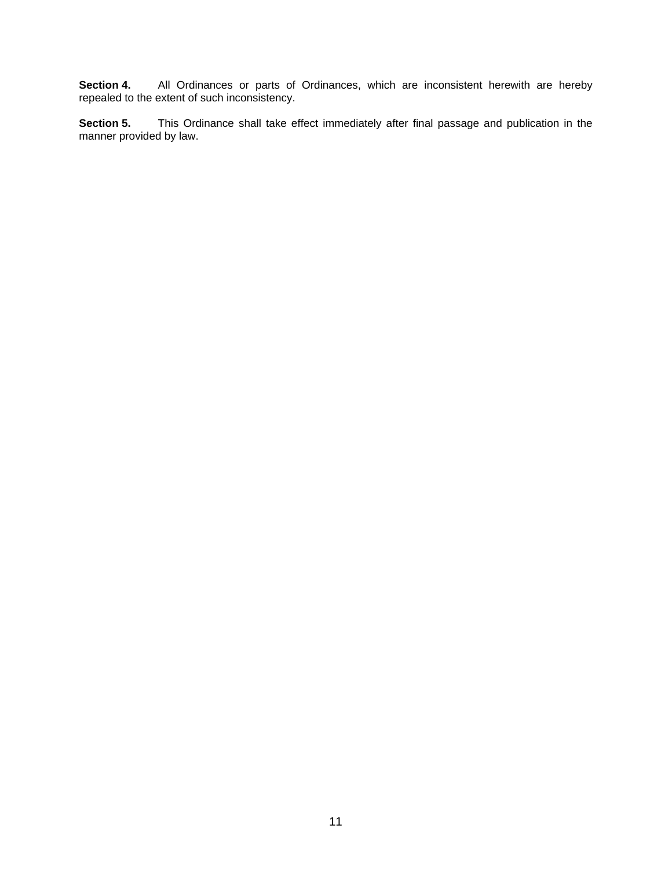**Section 4.** All Ordinances or parts of Ordinances, which are inconsistent herewith are hereby repealed to the extent of such inconsistency.

**Section 5.** This Ordinance shall take effect immediately after final passage and publication in the manner provided by law.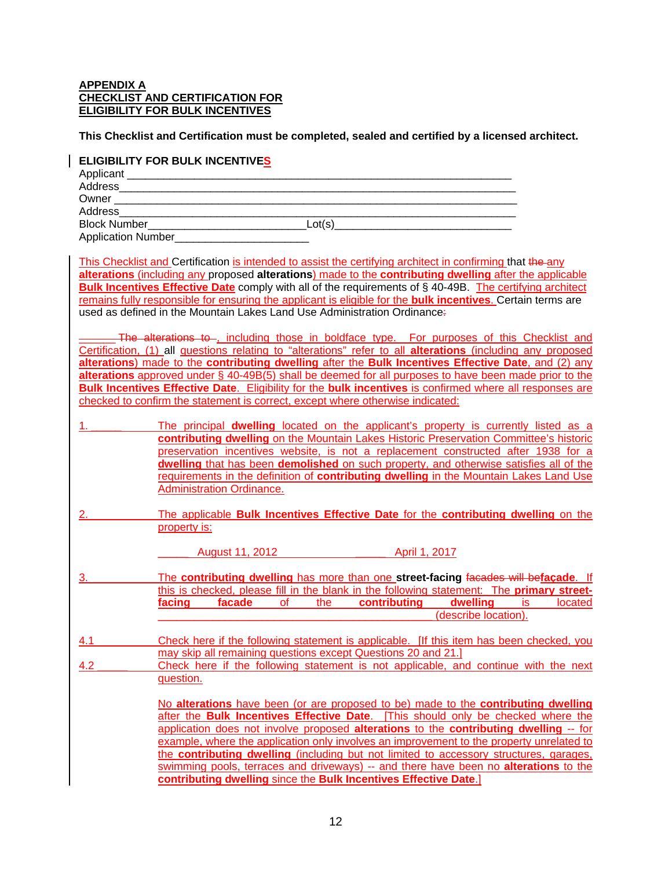#### **APPENDIX A CHECKLIST AND CERTIFICATION FOR ELIGIBILITY FOR BULK INCENTIVES**

**This Checklist and Certification must be completed, sealed and certified by a licensed architect.** 

#### **ELIGIBILITY FOR BULK INCENTIVES**

| Address                       |        |
|-------------------------------|--------|
| Owner _______________________ |        |
| Address__________________     |        |
| <b>Block Number</b>           | Lot(s) |
| Application Number            |        |

This Checklist and Certification is intended to assist the certifying architect in confirming that the any **alterations** (including any proposed **alterations**) made to the **contributing dwelling** after the applicable **Bulk Incentives Effective Date** comply with all of the requirements of § 40-49B. The certifying architect remains fully responsible for ensuring the applicant is eligible for the **bulk incentives**. Certain terms are used as defined in the Mountain Lakes Land Use Administration Ordinance:

The alterations to , including those in boldface type. For purposes of this Checklist and Certification, (1) all questions relating to "alterations" refer to all **alterations** (including any proposed **alterations**) made to the **contributing dwelling** after the **Bulk Incentives Effective Date**, and (2) any **alterations** approved under § 40-49B(5) shall be deemed for all purposes to have been made prior to the **Bulk Incentives Effective Date**. Eligibility for the **bulk incentives** is confirmed where all responses are checked to confirm the statement is correct, except where otherwise indicated:

| The principal <b>dwelling</b> located on the applicant's property is currently listed as a |
|--------------------------------------------------------------------------------------------|
| contributing dwelling on the Mountain Lakes Historic Preservation Committee's historic     |
| preservation incentives website, is not a replacement constructed after 1938 for a         |
| dwelling that has been demolished on such property, and otherwise satisfies all of the     |
| requirements in the definition of contributing dwelling in the Mountain Lakes Land Use     |
| Administration Ordinance.                                                                  |

2. The applicable **Bulk Incentives Effective Date** for the **contributing dwelling** on the property is:

\_\_\_\_\_ August 11, 2012 \_\_\_\_\_ April 1, 2017

3. \_\_\_\_\_ The **contributing dwelling** has more than one **street-facing** facades will be**façade**. If this is checked, please fill in the blank in the following statement: The **primary streetfacing facade** of the **contributing dwelling** is located \_\_\_\_\_\_\_\_\_\_\_\_\_\_\_\_\_\_\_\_\_\_\_\_\_\_\_\_\_\_\_\_\_\_\_\_\_\_\_\_\_\_\_\_\_ (describe location).

- 4.1 **Example 2.1** Check here if the following statement is applicable. [If this item has been checked, you may skip all remaining questions except Questions 20 and 21.]
- 4.2 **Example 2.1** Check here if the following statement is not applicable, and continue with the next question.

No **alterations** have been (or are proposed to be) made to the **contributing dwelling** after the **Bulk Incentives Effective Date**. [This should only be checked where the application does not involve proposed **alterations** to the **contributing dwelling** -- for example, where the application only involves an improvement to the property unrelated to the **contributing dwelling** (including but not limited to accessory structures, garages, swimming pools, terraces and driveways) -- and there have been no **alterations** to the **contributing dwelling** since the **Bulk Incentives Effective Date**.]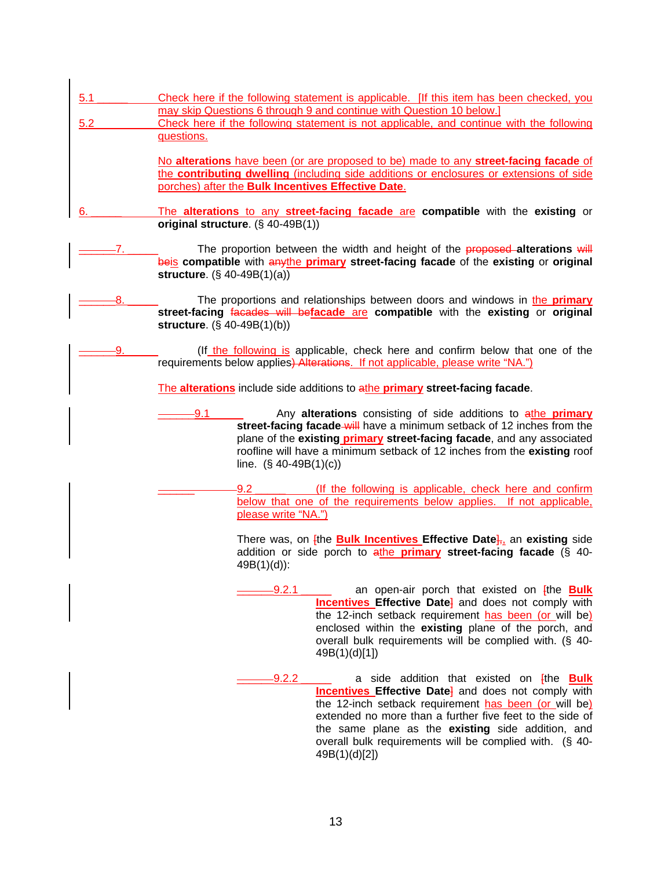| 5.1<br>5.2 | Check here if the following statement is applicable. [If this item has been checked, you<br>may skip Questions 6 through 9 and continue with Question 10 below.]<br>Check here if the following statement is not applicable, and continue with the following<br>questions.                                                                                     |
|------------|----------------------------------------------------------------------------------------------------------------------------------------------------------------------------------------------------------------------------------------------------------------------------------------------------------------------------------------------------------------|
|            | No alterations have been (or are proposed to be) made to any street-facing facade of<br>the contributing dwelling (including side additions or enclosures or extensions of side<br>porches) after the Bulk Incentives Effective Date.                                                                                                                          |
|            | The alterations to any street-facing facade are compatible with the existing or<br>original structure. (§ 40-49B(1))                                                                                                                                                                                                                                           |
|            | The proportion between the width and height of the <b>proposed-alterations will</b><br>beis compatible with anythe primary street-facing facade of the existing or original<br>structure. $(S, 40-49B(1)(a))$                                                                                                                                                  |
|            | The proportions and relationships between doors and windows in the <b>primary</b><br>street-facing facades will befacade are compatible with the existing or original<br>structure. $(S, 40-49B(1)(b))$                                                                                                                                                        |
|            | (If the following is applicable, check here and confirm below that one of the<br>requirements below applies) Alterations. If not applicable, please write "NA.")                                                                                                                                                                                               |
|            | The alterations include side additions to athe primary street-facing facade.                                                                                                                                                                                                                                                                                   |
|            | Any alterations consisting of side additions to athe primary<br>9.1<br>street-facing facade-will have a minimum setback of 12 inches from the<br>plane of the existing <b>primary</b> street-facing facade, and any associated<br>roofline will have a minimum setback of 12 inches from the existing roof<br>line. $(S\ 40-49B(1)(c))$                        |
|            | 9.2<br>(If the following is applicable, check here and confirm<br>below that one of the requirements below applies. If not applicable,<br>please write "NA.")                                                                                                                                                                                                  |
|            | There was, on <i>[the Bulk Incentives Effective Date]</i> , an existing side<br>addition or side porch to athe primary street-facing facade (§ 40-<br>$49B(1)(d)$ :                                                                                                                                                                                            |
|            | $-9.2.1$<br>an open-air porch that existed on <i>[the Bulk</i><br><b>Incentives Effective Date</b> and does not comply with<br>the 12-inch setback requirement has been (or will be)<br>enclosed within the existing plane of the porch, and<br>overall bulk requirements will be complied with. (§ 40-<br>49B(1)(d)[1])                                       |
|            | $-9.2.2$<br>a side addition that existed on <i>[the Bulk</i><br><b>Incentives Effective Date</b> and does not comply with<br>the 12-inch setback requirement has been (or will be)<br>extended no more than a further five feet to the side of<br>the same plane as the existing side addition, and<br>overall bulk requirements will be complied with. (§ 40- |

49B(1)(d)[2])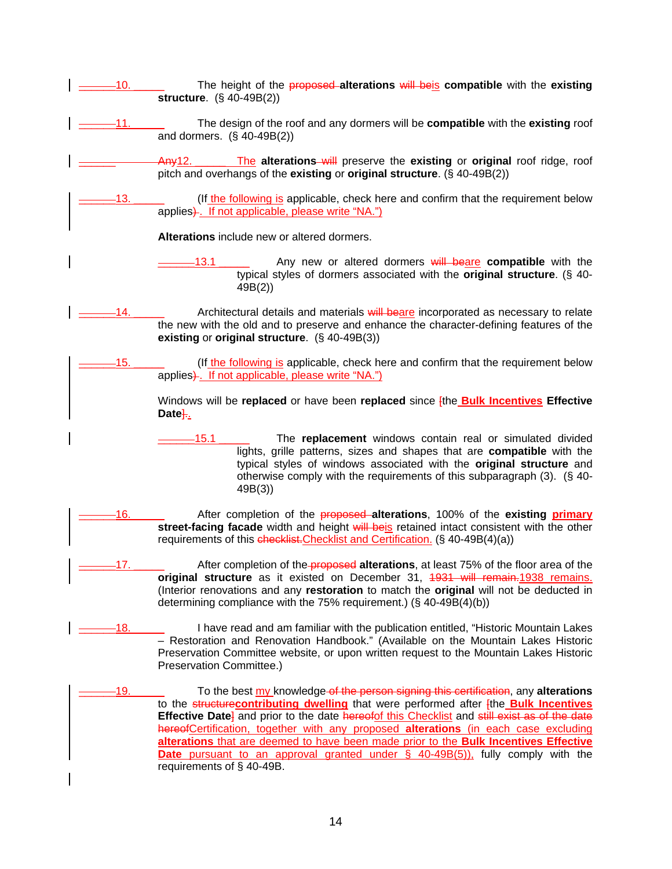- The height of the **proposed alterations** will beis **compatible** with the existing **structure**. (§ 40-49B(2))
- \_\_\_\_\_\_11. \_\_\_\_\_ The design of the roof and any dormers will be **compatible** with the **existing** roof and dormers. (§ 40-49B(2))
	- \_\_\_\_\_\_ Any12. \_\_\_\_\_ The **alterations** will preserve the **existing** or **original** roof ridge, roof pitch and overhangs of the **existing** or **original structure**. (§ 40-49B(2))
- 13. **Example 1** (If the following is applicable, check here and confirm that the requirement below applies). If not applicable, please write "NA.")
	- **Alterations** include new or altered dormers.
	- \_\_\_\_\_\_13.1 \_\_\_\_\_ Any new or altered dormers will beare **compatible** with the typical styles of dormers associated with the **original structure**. (§ 40- 49B(2))
- 14. **Example 2** Architectural details and materials will beare incorporated as necessary to relate the new with the old and to preserve and enhance the character-defining features of the **existing** or **original structure**. (§ 40-49B(3))
- \_\_\_\_\_\_15. \_\_\_\_\_ (If the following is applicable, check here and confirm that the requirement below applies). If not applicable, please write "NA.")

Windows will be **replaced** or have been **replaced** since [the **Bulk Incentives Effective**  Date<sup>1</sup>...

- \_\_\_\_\_\_15.1 \_\_\_\_\_ The **replacement** windows contain real or simulated divided lights, grille patterns, sizes and shapes that are **compatible** with the typical styles of windows associated with the **original structure** and otherwise comply with the requirements of this subparagraph (3). (§ 40- 49B(3))
- \_\_\_\_\_\_16. \_\_\_\_\_ After completion of the proposed **alterations**, 100% of the **existing primary street-facing facade** width and height will beis retained intact consistent with the other requirements of this checklist. Checklist and Certification. (§ 40-49B(4)(a))
- \_\_\_\_\_\_17. \_\_\_\_\_ After completion of the proposed **alterations**, at least 75% of the floor area of the **original structure** as it existed on December 31, 1931 will remain.1938 remains. (Interior renovations and any **restoration** to match the **original** will not be deducted in determining compliance with the 75% requirement.) (§ 40-49B(4)(b))
- \_\_\_\_\_\_18. \_\_\_\_\_ I have read and am familiar with the publication entitled, "Historic Mountain Lakes – Restoration and Renovation Handbook." (Available on the Mountain Lakes Historic Preservation Committee website, or upon written request to the Mountain Lakes Historic Preservation Committee.)
- \_\_\_\_\_\_19. \_\_\_\_\_ To the best my knowledge of the person signing this certification, any **alterations** to the structure**contributing dwelling** that were performed after [the **Bulk Incentives Effective Date**<sup>1</sup> and prior to the date hereofof this Checklist and still exist as of the date hereofCertification, together with any proposed **alterations** (in each case excluding **alterations** that are deemed to have been made prior to the **Bulk Incentives Effective Date** pursuant to an approval granted under § 40-49B(5)), fully comply with the requirements of § 40-49B.